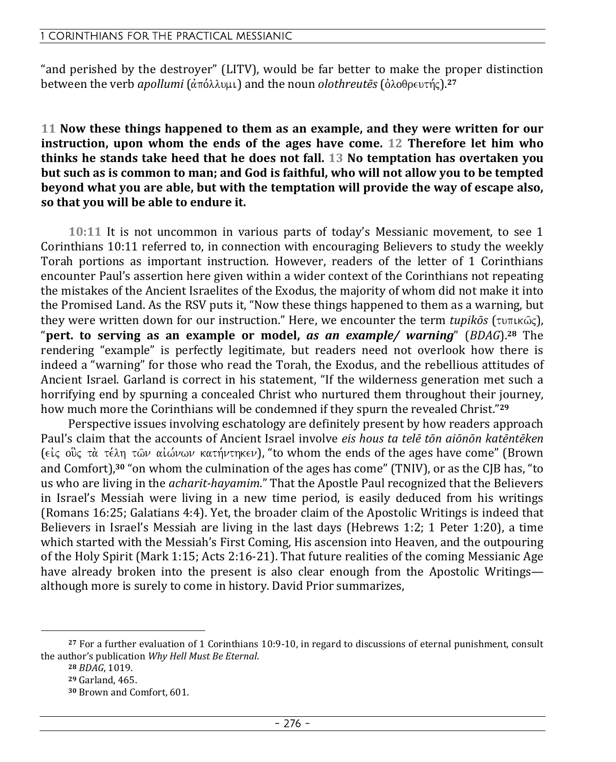"and perished by the destroyer" (LITV), would be far better to make the proper distinction between the verb *apollumi* (άπόλλυμι) and the noun *olothreutēs* (ὀλοθρευτής).<sup>27</sup>

**11 Now these things happened to them as an example, and they were written for our instruction, upon whom the ends of the ages have come. 12 Therefore let him who thinks he stands take heed that he does not fall. 13 No temptation has overtaken you but such as is common to man; and God is faithful, who will not allow you to be tempted beyond what you are able, but with the temptation will provide the way of escape also, so that you will be able to endure it.** 

**10:11** It is not uncommon in various parts of today's Messianic movement, to see 1 Corinthians 10:11 referred to, in connection with encouraging Believers to study the weekly Torah portions as important instruction. However, readers of the letter of 1 Corinthians encounter Paul's assertion here given within a wider context of the Corinthians not repeating the mistakes of the Ancient Israelites of the Exodus, the majority of whom did not make it into the Promised Land. As the RSV puts it, "Now these things happened to them as a warning, but they were written down for our instruction." Here, we encounter the term *tupikōs* (τυπικώς), "**pert. to serving as an example or model,** *as an example/ warning*" (*BDAG*).**28** The rendering "example" is perfectly legitimate, but readers need not overlook how there is indeed a "warning" for those who read the Torah, the Exodus, and the rebellious attitudes of Ancient Israel. Garland is correct in his statement, "If the wilderness generation met such a horrifying end by spurning a concealed Christ who nurtured them throughout their journey, how much more the Corinthians will be condemned if they spurn the revealed Christ."**<sup>29</sup>**

Perspective issues involving eschatology are definitely present by how readers approach Paul's claim that the accounts of Ancient Israel involve *eis hous ta telē tōn aiōnōn katēntēken* (είς ούς τὰ τέλη τῶν αἰώνων κατήντηκεν), "to whom the ends of the ages have come" (Brown and Comfort),**30** "on whom the culmination of the ages has come" (TNIV), or as the CJB has, "to us who are living in the *acharit-hayamim*." That the Apostle Paul recognized that the Believers in Israel's Messiah were living in a new time period, is easily deduced from his writings (Romans 16:25; Galatians 4:4). Yet, the broader claim of the Apostolic Writings is indeed that Believers in Israel's Messiah are living in the last days (Hebrews 1:2; 1 Peter 1:20), a time which started with the Messiah's First Coming, His ascension into Heaven, and the outpouring of the Holy Spirit (Mark 1:15; Acts 2:16-21). That future realities of the coming Messianic Age have already broken into the present is also clear enough from the Apostolic Writings although more is surely to come in history. David Prior summarizes,

**<sup>27</sup>** For a further evaluation of 1 Corinthians 10:9-10, in regard to discussions of eternal punishment, consult the author's publication *Why Hell Must Be Eternal*.

**<sup>28</sup>** *BDAG*, 1019.

**<sup>29</sup>** Garland, 465.

**<sup>30</sup>** Brown and Comfort, 601.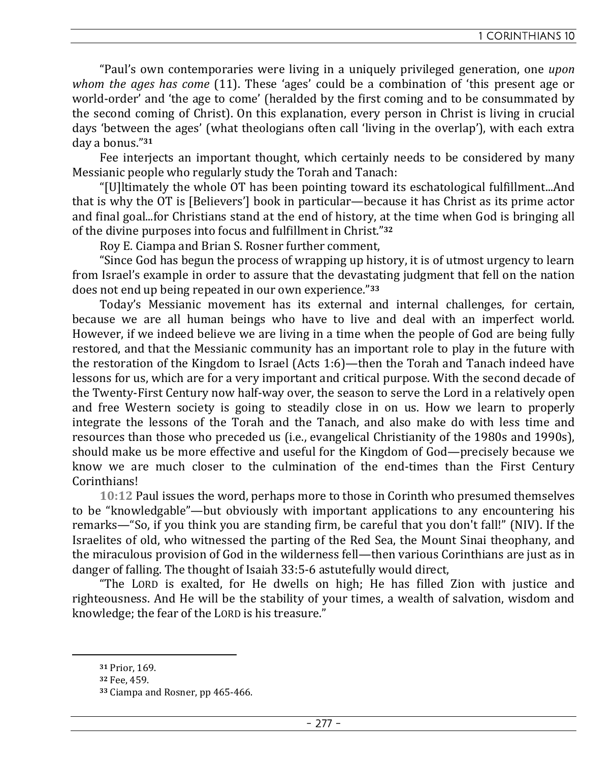"Paul's own contemporaries were living in a uniquely privileged generation, one *upon whom the ages has come* (11). These 'ages' could be a combination of 'this present age or world-order' and 'the age to come' (heralded by the first coming and to be consummated by the second coming of Christ). On this explanation, every person in Christ is living in crucial days 'between the ages' (what theologians often call 'living in the overlap'), with each extra day a bonus."**<sup>31</sup>**

Fee interiects an important thought, which certainly needs to be considered by many Messianic people who regularly study the Torah and Tanach:

"[U]ltimately the whole OT has been pointing toward its eschatological fulfillment...And that is why the OT is [Believers'] book in particular—because it has Christ as its prime actor and final goal...for Christians stand at the end of history, at the time when God is bringing all of the divine purposes into focus and fulfillment in Christ."**<sup>32</sup>**

Roy E. Ciampa and Brian S. Rosner further comment,

"Since God has begun the process of wrapping up history, it is of utmost urgency to learn from Israel's example in order to assure that the devastating judgment that fell on the nation does not end up being repeated in our own experience."**<sup>33</sup>**

Today's Messianic movement has its external and internal challenges, for certain, because we are all human beings who have to live and deal with an imperfect world. However, if we indeed believe we are living in a time when the people of God are being fully restored, and that the Messianic community has an important role to play in the future with the restoration of the Kingdom to Israel (Acts 1:6)—then the Torah and Tanach indeed have lessons for us, which are for a very important and critical purpose. With the second decade of the Twenty-First Century now half-way over, the season to serve the Lord in a relatively open and free Western society is going to steadily close in on us. How we learn to properly integrate the lessons of the Torah and the Tanach, and also make do with less time and resources than those who preceded us (i.e., evangelical Christianity of the 1980s and 1990s), should make us be more effective and useful for the Kingdom of God—precisely because we know we are much closer to the culmination of the end-times than the First Century Corinthians!

**10:12** Paul issues the word, perhaps more to those in Corinth who presumed themselves to be "knowledgable"—but obviously with important applications to any encountering his remarks—"So, if you think you are standing firm, be careful that you don't fall!" (NIV). If the Israelites of old, who witnessed the parting of the Red Sea, the Mount Sinai theophany, and the miraculous provision of God in the wilderness fell—then various Corinthians are just as in danger of falling. The thought of Isaiah 33:5-6 astutefully would direct,

"The LORD is exalted, for He dwells on high; He has filled Zion with justice and righteousness. And He will be the stability of your times, a wealth of salvation, wisdom and knowledge; the fear of the LORD is his treasure."

**<sup>31</sup>** Prior, 169.

**<sup>32</sup>** Fee, 459.

**<sup>33</sup>** Ciampa and Rosner, pp 465-466.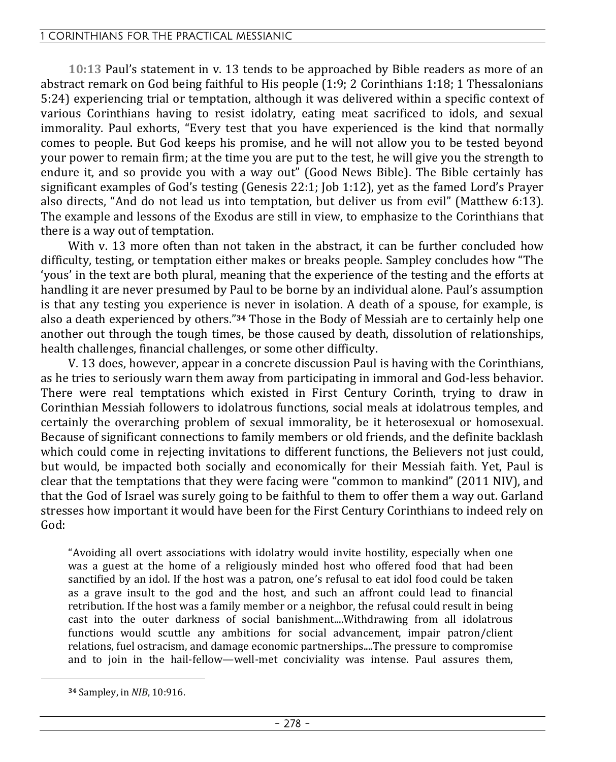**10:13** Paul's statement in v. 13 tends to be approached by Bible readers as more of an abstract remark on God being faithful to His people (1:9; 2 Corinthians 1:18; 1 Thessalonians 5:24) experiencing trial or temptation, although it was delivered within a specific context of various Corinthians having to resist idolatry, eating meat sacrificed to idols, and sexual immorality. Paul exhorts, "Every test that you have experienced is the kind that normally comes to people. But God keeps his promise, and he will not allow you to be tested beyond your power to remain firm; at the time you are put to the test, he will give you the strength to endure it, and so provide you with a way out" (Good News Bible). The Bible certainly has significant examples of God's testing (Genesis 22:1; Job 1:12), yet as the famed Lord's Prayer also directs, "And do not lead us into temptation, but deliver us from evil" (Matthew 6:13). The example and lessons of the Exodus are still in view, to emphasize to the Corinthians that there is a way out of temptation.

With y. 13 more often than not taken in the abstract, it can be further concluded how difficulty, testing, or temptation either makes or breaks people. Sampley concludes how "The 'yous' in the text are both plural, meaning that the experience of the testing and the efforts at handling it are never presumed by Paul to be borne by an individual alone. Paul's assumption is that any testing you experience is never in isolation. A death of a spouse, for example, is also a death experienced by others."**34** Those in the Body of Messiah are to certainly help one another out through the tough times, be those caused by death, dissolution of relationships, health challenges, financial challenges, or some other difficulty.

V. 13 does, however, appear in a concrete discussion Paul is having with the Corinthians, as he tries to seriously warn them away from participating in immoral and God-less behavior. There were real temptations which existed in First Century Corinth, trying to draw in Corinthian Messiah followers to idolatrous functions, social meals at idolatrous temples, and certainly the overarching problem of sexual immorality, be it heterosexual or homosexual. Because of significant connections to family members or old friends, and the definite backlash which could come in rejecting invitations to different functions, the Believers not just could, but would, be impacted both socially and economically for their Messiah faith. Yet, Paul is clear that the temptations that they were facing were "common to mankind" (2011 NIV), and that the God of Israel was surely going to be faithful to them to offer them a way out. Garland stresses how important it would have been for the First Century Corinthians to indeed rely on God:

"Avoiding all overt associations with idolatry would invite hostility, especially when one was a guest at the home of a religiously minded host who offered food that had been sanctified by an idol. If the host was a patron, one's refusal to eat idol food could be taken as a grave insult to the god and the host, and such an affront could lead to financial retribution. If the host was a family member or a neighbor, the refusal could result in being cast into the outer darkness of social banishment....Withdrawing from all idolatrous functions would scuttle any ambitions for social advancement, impair patron/client relations, fuel ostracism, and damage economic partnerships....The pressure to compromise and to join in the hail-fellow—well-met conciviality was intense. Paul assures them,

**<sup>34</sup>** Sampley, in *NIB*, 10:916.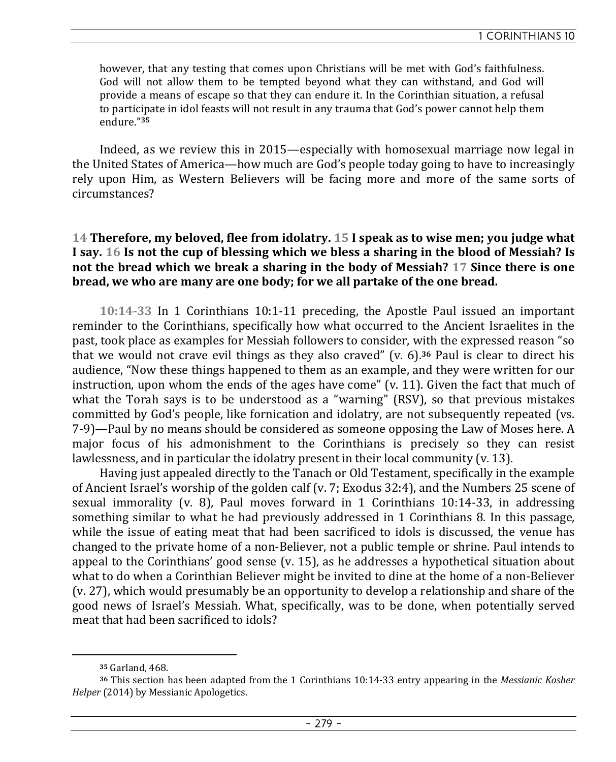however, that any testing that comes upon Christians will be met with God's faithfulness. God will not allow them to be tempted beyond what they can withstand, and God will provide a means of escape so that they can endure it. In the Corinthian situation, a refusal to participate in idol feasts will not result in any trauma that God's power cannot help them endure."**<sup>35</sup>**

Indeed, as we review this in 2015—especially with homosexual marriage now legal in the United States of America—how much are God's people today going to have to increasingly rely upon Him, as Western Believers will be facing more and more of the same sorts of circumstances?

# **14 Therefore, my beloved, flee from idolatry. 15 I speak as to wise men; you judge what I say. 16 Is not the cup of blessing which we bless a sharing in the blood of Messiah? Is not the bread which we break a sharing in the body of Messiah? 17 Since there is one bread, we who are many are one body; for we all partake of the one bread.**

**10:14-33** In 1 Corinthians 10:1-11 preceding, the Apostle Paul issued an important reminder to the Corinthians, specifically how what occurred to the Ancient Israelites in the past, took place as examples for Messiah followers to consider, with the expressed reason "so that we would not crave evil things as they also craved" (v. 6).**36** Paul is clear to direct his audience, "Now these things happened to them as an example, and they were written for our instruction, upon whom the ends of the ages have come"  $(v, 11)$ . Given the fact that much of what the Torah says is to be understood as a "warning" (RSV), so that previous mistakes committed by God's people, like fornication and idolatry, are not subsequently repeated (vs. 7-9)—Paul by no means should be considered as someone opposing the Law of Moses here. A major focus of his admonishment to the Corinthians is precisely so they can resist lawlessness, and in particular the idolatry present in their local community (v. 13).

Having just appealed directly to the Tanach or Old Testament, specifically in the example of Ancient Israel's worship of the golden calf (v. 7; Exodus 32:4), and the Numbers 25 scene of sexual immorality (v. 8), Paul moves forward in 1 Corinthians 10:14-33, in addressing something similar to what he had previously addressed in 1 Corinthians 8. In this passage, while the issue of eating meat that had been sacrificed to idols is discussed, the venue has changed to the private home of a non-Believer, not a public temple or shrine. Paul intends to appeal to the Corinthians' good sense (v. 15), as he addresses a hypothetical situation about what to do when a Corinthian Believer might be invited to dine at the home of a non-Believer (v. 27), which would presumably be an opportunity to develop a relationship and share of the good news of Israel's Messiah. What, specifically, was to be done, when potentially served meat that had been sacrificed to idols?

**<sup>35</sup>** Garland, 468.

**<sup>36</sup>** This section has been adapted from the 1 Corinthians 10:14-33 entry appearing in the *Messianic Kosher Helper* (2014) by Messianic Apologetics.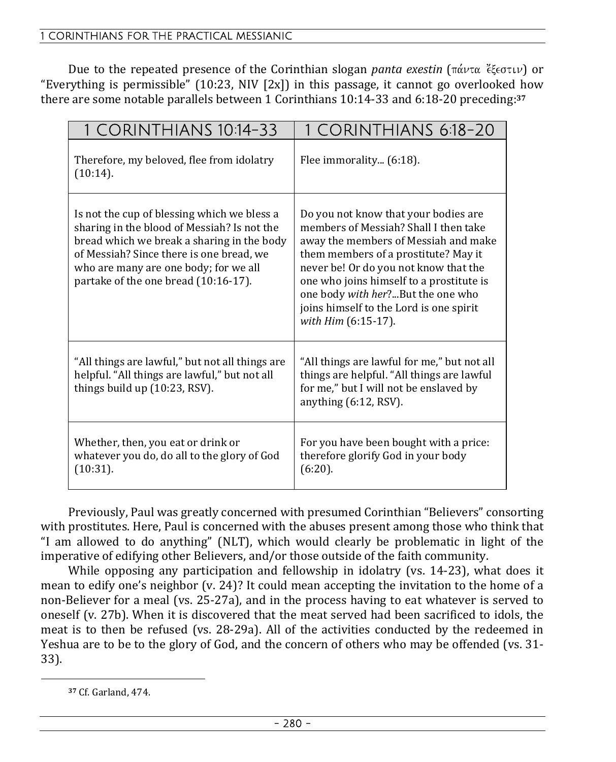Due to the repeated presence of the Corinthian slogan *panta exestin* (πάντα έξεστιν) or "Everything is permissible"  $(10:23, NIV \nvert 2x]$  in this passage, it cannot go overlooked how there are some notable parallels between 1 Corinthians 10:14-33 and 6:18-20 preceding:**<sup>37</sup>**

| 1 CORINTHIANS 10:14-33                                                                                                                                                                                                                                                | 1 CORINTHIANS 6:18-20                                                                                                                                                                                                                                                                                                                                     |
|-----------------------------------------------------------------------------------------------------------------------------------------------------------------------------------------------------------------------------------------------------------------------|-----------------------------------------------------------------------------------------------------------------------------------------------------------------------------------------------------------------------------------------------------------------------------------------------------------------------------------------------------------|
| Therefore, my beloved, flee from idolatry<br>(10:14).                                                                                                                                                                                                                 | Flee immorality (6:18).                                                                                                                                                                                                                                                                                                                                   |
| Is not the cup of blessing which we bless a<br>sharing in the blood of Messiah? Is not the<br>bread which we break a sharing in the body<br>of Messiah? Since there is one bread, we<br>who are many are one body; for we all<br>partake of the one bread (10:16-17). | Do you not know that your bodies are<br>members of Messiah? Shall I then take<br>away the members of Messiah and make<br>them members of a prostitute? May it<br>never be! Or do you not know that the<br>one who joins himself to a prostitute is<br>one body with her?But the one who<br>joins himself to the Lord is one spirit<br>with Him (6:15-17). |
| "All things are lawful," but not all things are<br>helpful. "All things are lawful," but not all<br>things build up (10:23, RSV).                                                                                                                                     | "All things are lawful for me," but not all<br>things are helpful. "All things are lawful<br>for me," but I will not be enslaved by<br>anything (6:12, RSV).                                                                                                                                                                                              |
| Whether, then, you eat or drink or<br>whatever you do, do all to the glory of God<br>(10:31).                                                                                                                                                                         | For you have been bought with a price:<br>therefore glorify God in your body<br>$(6:20)$ .                                                                                                                                                                                                                                                                |

Previously, Paul was greatly concerned with presumed Corinthian "Believers" consorting with prostitutes. Here, Paul is concerned with the abuses present among those who think that "I am allowed to do anything" (NLT), which would clearly be problematic in light of the imperative of edifying other Believers, and/or those outside of the faith community.

While opposing any participation and fellowship in idolatry (vs. 14-23), what does it mean to edify one's neighbor (v. 24)? It could mean accepting the invitation to the home of a non-Believer for a meal (vs. 25-27a), and in the process having to eat whatever is served to oneself (v. 27b). When it is discovered that the meat served had been sacrificed to idols, the meat is to then be refused (vs. 28-29a). All of the activities conducted by the redeemed in Yeshua are to be to the glory of God, and the concern of others who may be offended (vs. 31- 33).

**<sup>37</sup>** Cf. Garland, 474.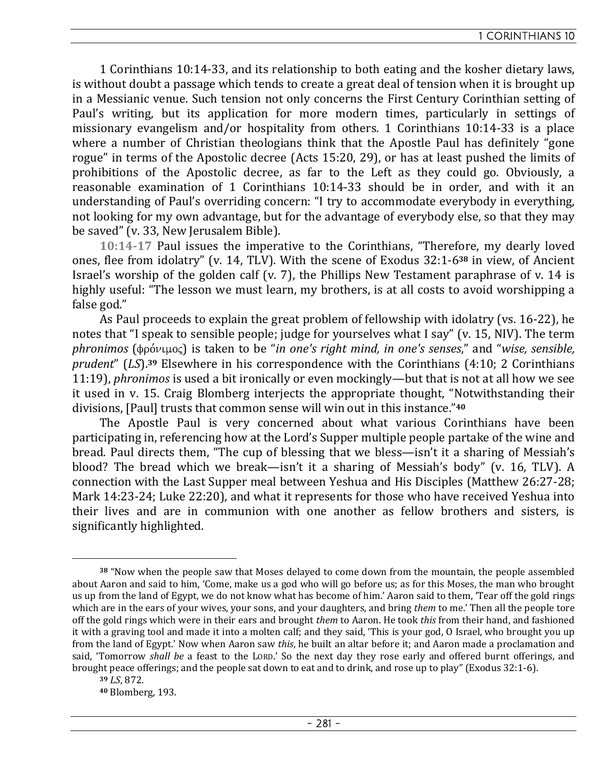1 Corinthians 10:14-33, and its relationship to both eating and the kosher dietary laws, is without doubt a passage which tends to create a great deal of tension when it is brought up in a Messianic venue. Such tension not only concerns the First Century Corinthian setting of Paul's writing, but its application for more modern times, particularly in settings of missionary evangelism and/or hospitality from others. 1 Corinthians 10:14-33 is a place where a number of Christian theologians think that the Apostle Paul has definitely "gone rogue" in terms of the Apostolic decree (Acts 15:20, 29), or has at least pushed the limits of prohibitions of the Apostolic decree, as far to the Left as they could go. Obviously, a reasonable examination of 1 Corinthians 10:14-33 should be in order, and with it an understanding of Paul's overriding concern: "I try to accommodate everybody in everything, not looking for my own advantage, but for the advantage of everybody else, so that they may be saved" (v. 33, New Jerusalem Bible).

**10:14-17** Paul issues the imperative to the Corinthians, "Therefore, my dearly loved ones, flee from idolatry" (v. 14, TLV). With the scene of Exodus 32:1-6**38** in view, of Ancient Israel's worship of the golden calf (v. 7), the Phillips New Testament paraphrase of v. 14 is highly useful: "The lesson we must learn, my brothers, is at all costs to avoid worshipping a false god."

As Paul proceeds to explain the great problem of fellowship with idolatry (vs. 16-22), he notes that "I speak to sensible people; judge for yourselves what I say" (v. 15, NIV). The term *phronimos* (φρόνιμος) is taken to be "*in one's right mind, in one's senses*," and "*wise, sensible, prudent*" (*LS*).**39** Elsewhere in his correspondence with the Corinthians (4:10; 2 Corinthians 11:19), *phronimos* is used a bit ironically or even mockingly—but that is not at all how we see it used in v. 15. Craig Blomberg interjects the appropriate thought, "Notwithstanding their divisions, [Paul] trusts that common sense will win out in this instance."**<sup>40</sup>**

The Apostle Paul is very concerned about what various Corinthians have been participating in, referencing how at the Lord's Supper multiple people partake of the wine and bread. Paul directs them, "The cup of blessing that we bless—isn't it a sharing of Messiah's blood? The bread which we break—isn't it a sharing of Messiah's body" (v. 16, TLV). A connection with the Last Supper meal between Yeshua and His Disciples (Matthew 26:27-28; Mark 14:23-24; Luke 22:20), and what it represents for those who have received Yeshua into their lives and are in communion with one another as fellow brothers and sisters, is significantly highlighted.

**<sup>38</sup>** "Now when the people saw that Moses delayed to come down from the mountain, the people assembled about Aaron and said to him, 'Come, make us a god who will go before us; as for this Moses, the man who brought us up from the land of Egypt, we do not know what has become of him.' Aaron said to them, 'Tear off the gold rings which are in the ears of your wives, your sons, and your daughters, and bring *them* to me.' Then all the people tore off the gold rings which were in their ears and brought *them* to Aaron. He took *this* from their hand, and fashioned it with a graving tool and made it into a molten calf; and they said, 'This is your god, O Israel, who brought you up from the land of Egypt.' Now when Aaron saw *this*, he built an altar before it; and Aaron made a proclamation and said, 'Tomorrow *shall be* a feast to the LORD.' So the next day they rose early and offered burnt offerings, and brought peace offerings; and the people sat down to eat and to drink, and rose up to play" (Exodus 32:1-6).

**<sup>39</sup>** *LS*, 872.

**<sup>40</sup>** Blomberg, 193.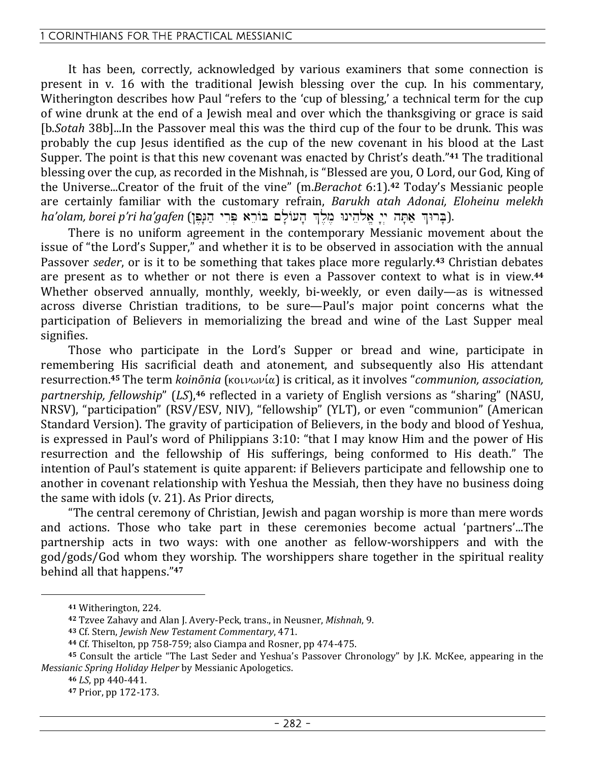It has been, correctly, acknowledged by various examiners that some connection is present in v. 16 with the traditional Jewish blessing over the cup. In his commentary, Witherington describes how Paul "refers to the 'cup of blessing,' a technical term for the cup of wine drunk at the end of a Jewish meal and over which the thanksgiving or grace is said [b.*Sotah* 38b]...In the Passover meal this was the third cup of the four to be drunk. This was probably the cup Jesus identified as the cup of the new covenant in his blood at the Last Supper. The point is that this new covenant was enacted by Christ's death."**41** The traditional blessing over the cup, as recorded in the Mishnah, is "Blessed are you, O Lord, our God, King of the Universe...Creator of the fruit of the vine" (m.*Berachot* 6:1).**42** Today's Messianic people are certainly familiar with the customary refrain, *Barukh atah Adonai, Eloheinu melekh*  ha'olam, borei p'ri ha'gafen (בְּרוּךְ אָתָּה יִי אֲלֹהֵינוּ מֵלֵךְ הָעוֹלָם בּוֹרֵא פְּרִי הַגְּפֵן).

There is no uniform agreement in the contemporary Messianic movement about the issue of "the Lord's Supper," and whether it is to be observed in association with the annual Passover *seder*, or is it to be something that takes place more regularly.**43** Christian debates are present as to whether or not there is even a Passover context to what is in view.**<sup>44</sup>** Whether observed annually, monthly, weekly, bi-weekly, or even daily—as is witnessed across diverse Christian traditions, to be sure—Paul's major point concerns what the participation of Believers in memorializing the bread and wine of the Last Supper meal signifies.

Those who participate in the Lord's Supper or bread and wine, participate in remembering His sacrificial death and atonement, and subsequently also His attendant resurrection.<sup>45</sup> The term *koinōnia* (κοινωνία) is critical, as it involves "*communion, association, partnership, fellowship*" (*LS*),**46** reflected in a variety of English versions as "sharing" (NASU, NRSV), "participation" (RSV/ESV, NIV), "fellowship" (YLT), or even "communion" (American Standard Version). The gravity of participation of Believers, in the body and blood of Yeshua, is expressed in Paul's word of Philippians 3:10: "that I may know Him and the power of His resurrection and the fellowship of His sufferings, being conformed to His death." The intention of Paul's statement is quite apparent: if Believers participate and fellowship one to another in covenant relationship with Yeshua the Messiah, then they have no business doing the same with idols (v. 21). As Prior directs,

"The central ceremony of Christian, Jewish and pagan worship is more than mere words and actions. Those who take part in these ceremonies become actual 'partners'...The partnership acts in two ways: with one another as fellow-worshippers and with the god/gods/God whom they worship. The worshippers share together in the spiritual reality behind all that happens."**<sup>47</sup>**

**<sup>41</sup>** Witherington, 224.

**<sup>42</sup>** Tzvee Zahavy and Alan J. Avery-Peck, trans., in Neusner, *Mishnah*, 9.

**<sup>43</sup>** Cf. Stern, *Jewish New Testament Commentary*, 471.

**<sup>44</sup>** Cf. Thiselton, pp 758-759; also Ciampa and Rosner, pp 474-475.

**<sup>45</sup>** Consult the article "The Last Seder and Yeshua's Passover Chronology" by J.K. McKee, appearing in the *Messianic Spring Holiday Helper* by Messianic Apologetics.

**<sup>46</sup>** *LS*, pp 440-441.

**<sup>47</sup>** Prior, pp 172-173.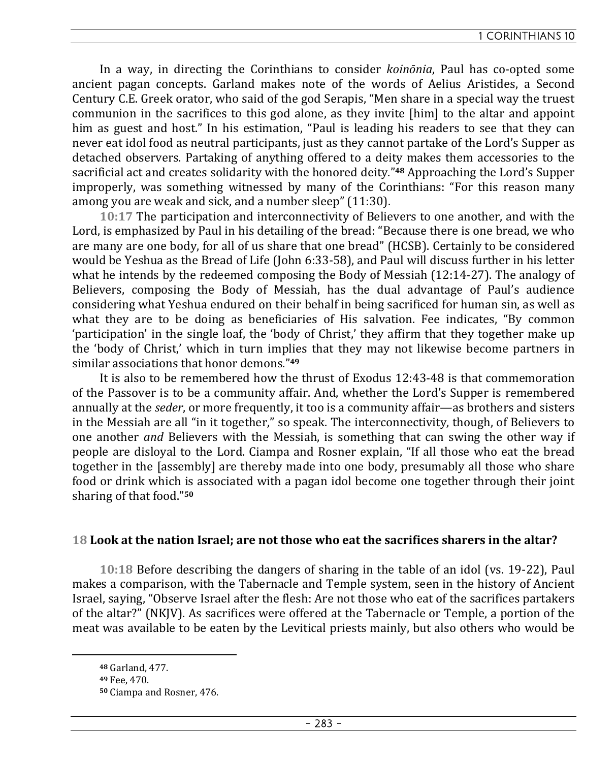In a way, in directing the Corinthians to consider *koinōnia*, Paul has co-opted some ancient pagan concepts. Garland makes note of the words of Aelius Aristides, a Second Century C.E. Greek orator, who said of the god Serapis, "Men share in a special way the truest communion in the sacrifices to this god alone, as they invite [him] to the altar and appoint him as guest and host." In his estimation, "Paul is leading his readers to see that they can never eat idol food as neutral participants, just as they cannot partake of the Lord's Supper as detached observers. Partaking of anything offered to a deity makes them accessories to the sacrificial act and creates solidarity with the honored deity."**48** Approaching the Lord's Supper improperly, was something witnessed by many of the Corinthians: "For this reason many among you are weak and sick, and a number sleep" (11:30).

**10:17** The participation and interconnectivity of Believers to one another, and with the Lord, is emphasized by Paul in his detailing of the bread: "Because there is one bread, we who are many are one body, for all of us share that one bread" (HCSB). Certainly to be considered would be Yeshua as the Bread of Life (John 6:33-58), and Paul will discuss further in his letter what he intends by the redeemed composing the Body of Messiah (12:14-27). The analogy of Believers, composing the Body of Messiah, has the dual advantage of Paul's audience considering what Yeshua endured on their behalf in being sacrificed for human sin, as well as what they are to be doing as beneficiaries of His salvation. Fee indicates, "By common 'participation' in the single loaf, the 'body of Christ,' they affirm that they together make up the 'body of Christ,' which in turn implies that they may not likewise become partners in similar associations that honor demons."**<sup>49</sup>**

It is also to be remembered how the thrust of Exodus 12:43-48 is that commemoration of the Passover is to be a community affair. And, whether the Lord's Supper is remembered annually at the *seder*, or more frequently, it too is a community affair—as brothers and sisters in the Messiah are all "in it together," so speak. The interconnectivity, though, of Believers to one another *and* Believers with the Messiah, is something that can swing the other way if people are disloyal to the Lord. Ciampa and Rosner explain, "If all those who eat the bread together in the [assembly] are thereby made into one body, presumably all those who share food or drink which is associated with a pagan idol become one together through their joint sharing of that food."**<sup>50</sup>**

# **18 Look at the nation Israel; are not those who eat the sacrifices sharers in the altar?**

**10:18** Before describing the dangers of sharing in the table of an idol (vs. 19-22), Paul makes a comparison, with the Tabernacle and Temple system, seen in the history of Ancient Israel, saying, "Observe Israel after the flesh: Are not those who eat of the sacrifices partakers of the altar?" (NKJV). As sacrifices were offered at the Tabernacle or Temple, a portion of the meat was available to be eaten by the Levitical priests mainly, but also others who would be

**<sup>48</sup>** Garland, 477.

**<sup>49</sup>** Fee, 470.

**<sup>50</sup>** Ciampa and Rosner, 476.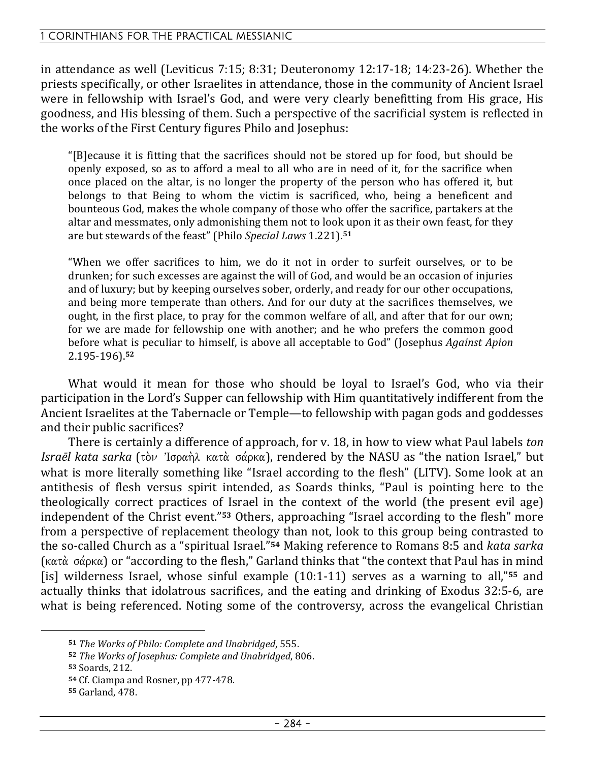in attendance as well (Leviticus 7:15; 8:31; Deuteronomy 12:17-18; 14:23-26). Whether the priests specifically, or other Israelites in attendance, those in the community of Ancient Israel were in fellowship with Israel's God, and were very clearly benefitting from His grace, His goodness, and His blessing of them. Such a perspective of the sacrificial system is reflected in the works of the First Century figures Philo and Josephus:

"[B]ecause it is fitting that the sacrifices should not be stored up for food, but should be openly exposed, so as to afford a meal to all who are in need of it, for the sacrifice when once placed on the altar, is no longer the property of the person who has offered it, but belongs to that Being to whom the victim is sacrificed, who, being a beneficent and bounteous God, makes the whole company of those who offer the sacrifice, partakers at the altar and messmates, only admonishing them not to look upon it as their own feast, for they are but stewards of the feast" (Philo *Special Laws* 1.221).**<sup>51</sup>**

"When we offer sacrifices to him, we do it not in order to surfeit ourselves, or to be drunken; for such excesses are against the will of God, and would be an occasion of injuries and of luxury; but by keeping ourselves sober, orderly, and ready for our other occupations, and being more temperate than others. And for our duty at the sacrifices themselves, we ought, in the first place, to pray for the common welfare of all, and after that for our own; for we are made for fellowship one with another; and he who prefers the common good before what is peculiar to himself, is above all acceptable to God" (Josephus *Against Apion* 2.195-196).**<sup>52</sup>**

What would it mean for those who should be loyal to Israel's God, who via their participation in the Lord's Supper can fellowship with Him quantitatively indifferent from the Ancient Israelites at the Tabernacle or Temple—to fellowship with pagan gods and goddesses and their public sacrifices?

There is certainly a difference of approach, for v. 18, in how to view what Paul labels *ton Israēl kata sarka* (τὸν Ἰσραὴλ κατὰ σάρκα), rendered by the NASU as "the nation Israel," but what is more literally something like "Israel according to the flesh" (LITV). Some look at an antithesis of flesh versus spirit intended, as Soards thinks, "Paul is pointing here to the theologically correct practices of Israel in the context of the world (the present evil age) independent of the Christ event."**53** Others, approaching "Israel according to the flesh" more from a perspective of replacement theology than not, look to this group being contrasted to the so-called Church as a "spiritual Israel."**54** Making reference to Romans 8:5 and *kata sarka*  $(\kappa \alpha \tau \dot{\alpha})$  or "according to the flesh," Garland thinks that "the context that Paul has in mind [is] wilderness Israel, whose sinful example (10:1-11) serves as a warning to all,"**55** and actually thinks that idolatrous sacrifices, and the eating and drinking of Exodus 32:5-6, are what is being referenced. Noting some of the controversy, across the evangelical Christian

**<sup>51</sup>** *The Works of Philo: Complete and Unabridged*, 555.

**<sup>52</sup>** *The Works of Josephus: Complete and Unabridged*, 806.

**<sup>53</sup>** Soards, 212.

**<sup>54</sup>** Cf. Ciampa and Rosner, pp 477-478.

**<sup>55</sup>** Garland, 478.